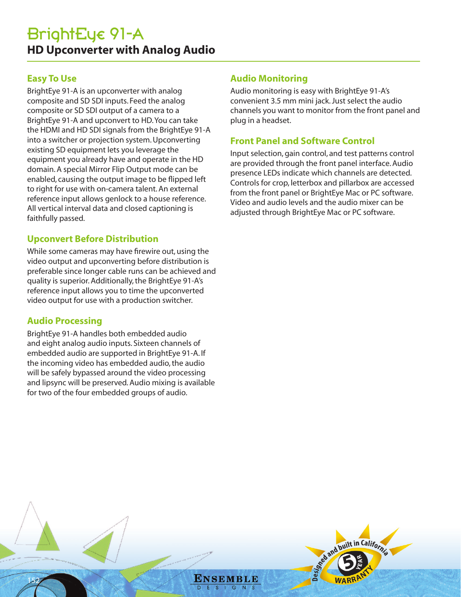# **Easy To Use**

BrightEye 91-A is an upconverter with analog composite and SD SDI inputs. Feed the analog composite or SD SDI output of a camera to a BrightEye 91-A and upconvert to HD. You can take the HDMI and HD SDI signals from the BrightEye 91-A into a switcher or projection system. Upconverting existing SD equipment lets you leverage the equipment you already have and operate in the HD domain. A special Mirror Flip Output mode can be enabled, causing the output image to be flipped left to right for use with on-camera talent. An external reference input allows genlock to a house reference. All vertical interval data and closed captioning is faithfully passed.

## **Upconvert Before Distribution**

While some cameras may have firewire out, using the video output and upconverting before distribution is preferable since longer cable runs can be achieved and quality is superior. Additionally, the BrightEye 91-A's reference input allows you to time the upconverted video output for use with a production switcher.

# **Audio Processing**

152

BrightEye 91-A handles both embedded audio and eight analog audio inputs. Sixteen channels of embedded audio are supported in BrightEye 91-A. If the incoming video has embedded audio, the audio will be safely bypassed around the video processing and lipsync will be preserved. Audio mixing is available for two of the four embedded groups of audio.

# **Audio Monitoring**

Audio monitoring is easy with BrightEye 91-A's convenient 3.5 mm mini jack. Just select the audio channels you want to monitor from the front panel and plug in a headset.

## **Front Panel and Software Control**

Input selection, gain control, and test patterns control are provided through the front panel interface. Audio presence LEDs indicate which channels are detected. Controls for crop, letterbox and pillarbox are accessed from the front panel or BrightEye Mac or PC software. Video and audio levels and the audio mixer can be adjusted through BrightEye Mac or PC software.

and built in California

ENSEMBLE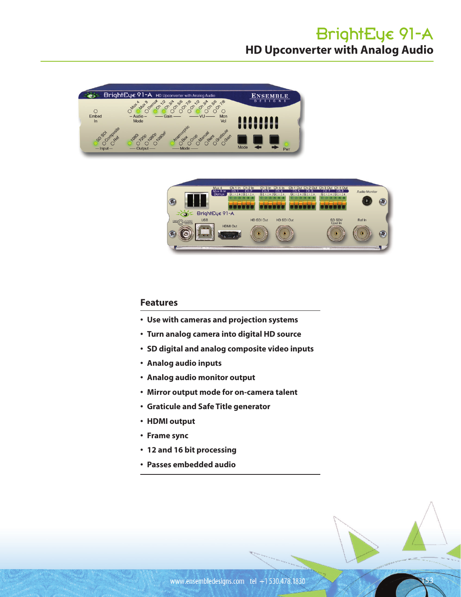# BrightEye 91-A **HD Upconverter with Analog Audio**





## **Features**

- **• Use with cameras and projection systems**
- **• Turn analog camera into digital HD source**
- **• SD digital and analog composite video inputs**
- **• Analog audio inputs**
- **• Analog audio monitor output**
- **• Mirror output mode for on-camera talent**
- **• Graticule and Safe Title generator**
- **• HDMI output**
- **• Frame sync**
- **• 12 and 16 bit processing**
- **• Passes embedded audio**

153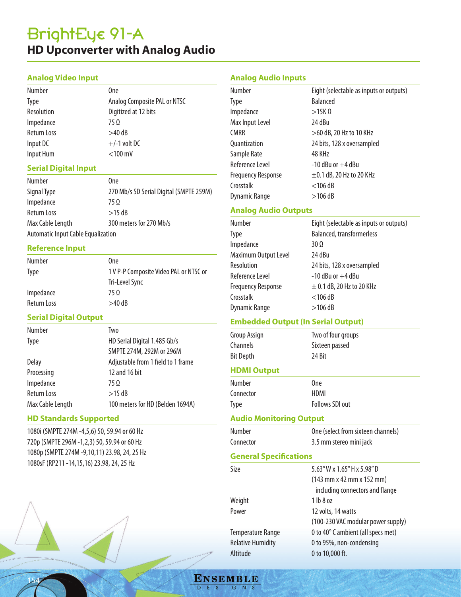# BrightEye 91-A **HD Upconverter with Analog Audio**

#### **Analog Video Input**

| Number             | 0ne                          |
|--------------------|------------------------------|
| <b>Type</b>        | Analog Composite PAL or NTSC |
| Resolution         | Digitized at 12 bits         |
| Impedance          | $75 \Omega$                  |
| <b>Return Loss</b> | $>40$ dB                     |
| Input DC           | $+/-1$ volt DC               |
| Input Hum          | $<$ 100 mV                   |
|                    |                              |

#### **Serial Digital Input**

| Number                             | 0ne                                     |
|------------------------------------|-----------------------------------------|
| Signal Type                        | 270 Mb/s SD Serial Digital (SMPTE 259M) |
| Impedance                          | 750                                     |
| Return Loss                        | $>15$ dB                                |
| Max Cable Length                   | 300 meters for 270 Mb/s                 |
| Automatic Input Cable Equalization |                                         |

#### **Reference Input**

| Number      | 0ne                                    |
|-------------|----------------------------------------|
| <b>Type</b> | 1 V P-P Composite Video PAL or NTSC or |
|             | Tri-Level Sync                         |
| Impedance   | 750                                    |
| Return Loss | $>40$ dB                               |

## **Serial Digital Output**

| Number             | Two                                |
|--------------------|------------------------------------|
| <b>Type</b>        | HD Serial Digital 1.485 Gb/s       |
|                    | SMPTE 274M, 292M or 296M           |
| Delay              | Adjustable from 1 field to 1 frame |
| Processing         | 12 and 16 bit                      |
| Impedance          | 75 Ω                               |
| <b>Return Loss</b> | $>15$ dB                           |
| Max Cable Length   | 100 meters for HD (Belden 1694A)   |

#### **HD Standards Supported**

1080i (SMPTE 274M -4,5,6) 50, 59.94 or 60 Hz 720p (SMPTE 296M -1,2,3) 50, 59.94 or 60 Hz 1080p (SMPTE 274M -9,10,11) 23.98, 24, 25 Hz 1080sF (RP211 -14,15,16) 23.98, 24, 25 Hz



## **Analog Audio Inputs**

| <b>Number</b>             | Eight (selectable as inputs or outputs) |
|---------------------------|-----------------------------------------|
| <b>Type</b>               | <b>Balanced</b>                         |
| Impedance                 | $>15K$ $\Omega$                         |
| Max Input Level           | 24 dBu                                  |
| <b>CMRR</b>               | >60 dB, 20 Hz to 10 KHz                 |
| <b>Ouantization</b>       | 24 bits, 128 x oversampled              |
| Sample Rate               | 48 KHz                                  |
| Reference Level           | $-10$ dBu or $+4$ dBu                   |
| <b>Frequency Response</b> | $\pm$ 0.1 dB, 20 Hz to 20 KHz           |
| Crosstalk                 | $<$ 106 dB                              |
| Dynamic Range             | $>106$ dB                               |

## **Analog Audio Outputs**

| <b>Number</b>             | Eight (selectable as inputs or outputs) |
|---------------------------|-----------------------------------------|
| <b>Type</b>               | Balanced, transformerless               |
| Impedance                 | $30\Omega$                              |
| Maximum Output Level      | 24 dBu                                  |
| Resolution                | 24 bits, 128 x oversampled              |
| Reference Level           | $-10$ dBu or $+4$ dBu                   |
| <b>Frequency Response</b> | $\pm$ 0.1 dB, 20 Hz to 20 KHz           |
| Crosstalk                 | $<$ 106 dB                              |
| <b>Dynamic Range</b>      | $>106$ dB                               |

## **Embedded Output (In Serial Output)**

| Group Assign     | Two of four groups |
|------------------|--------------------|
| Channels         | Sixteen passed     |
| <b>Bit Depth</b> | 24 Bit             |

## **HDMI Output**

| Number    | 0ne             |
|-----------|-----------------|
| Connector | HDMI            |
| Type      | Follows SDI out |

## **Audio Monitoring Output**

| Number                        | One (select from sixteen channels) |
|-------------------------------|------------------------------------|
| Connector                     | 3.5 mm stereo mini jack            |
| <b>General Specifications</b> |                                    |
| Size                          | 5.63"W x 1.65"H x 5.98"D           |

|                          | (143 mm x 42 mm x 152 mm)          |
|--------------------------|------------------------------------|
|                          | including connectors and flange    |
| Weight                   | 1 lb 8 oz                          |
| Power                    | 12 volts, 14 watts                 |
|                          | (100-230 VAC modular power supply) |
| Temperature Range        | 0 to 40° C ambient (all specs met) |
| <b>Relative Humidity</b> | 0 to 95%, non-condensing           |
| Altitude                 | 0 to 10,000 ft.                    |
|                          |                                    |

**ENSEMBLE** DESIGNS